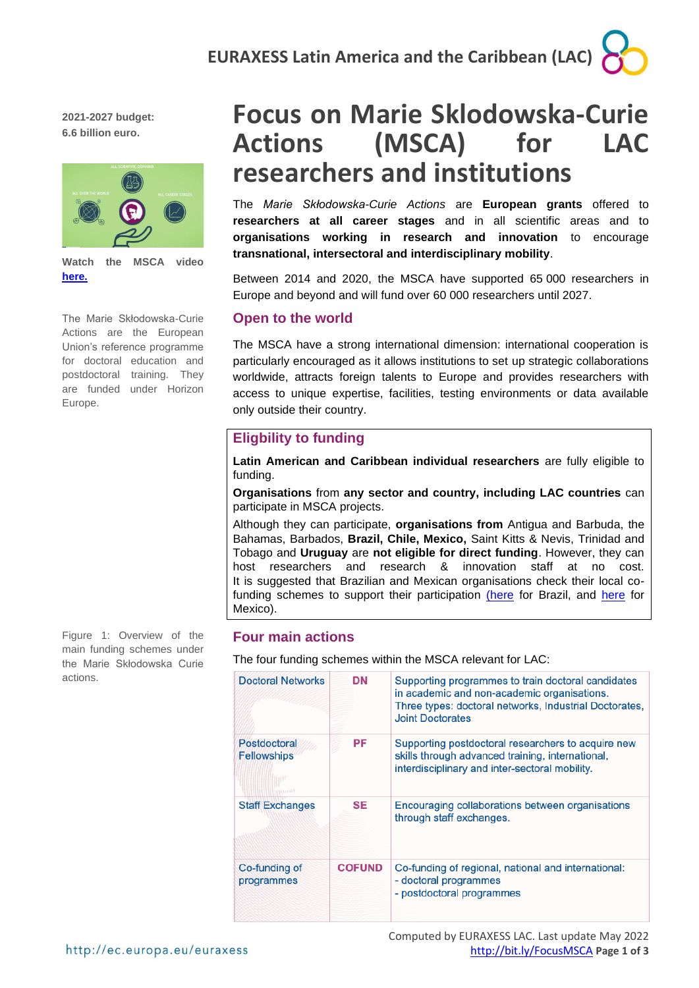**2021-2027 budget: 6.6 billion euro.**



**Watch the MSCA video [here.](https://youtu.be/vY-nlZIRlLs)**

The Marie Skłodowska-Curie Actions are the European Union's reference programme for doctoral education and postdoctoral training. They are funded under Horizon Europe.

Figure 1: Overview of the main funding schemes under the Marie Skłodowska Curie actions.

# **Focus on Marie Sklodowska-Curie Actions (MSCA) for LAC researchers and institutions**

The *Marie Skłodowska-Curie Actions* are **European grants** offered to **researchers at all career stages** and in all scientific areas and to **organisations working in research and innovation** to encourage **transnational, intersectoral and interdisciplinary mobility**.

Between 2014 and 2020, the MSCA have supported 65 000 researchers in Europe and beyond and will fund over 60 000 researchers until 2027.

### **Open to the world**

The MSCA have a strong international dimension: international cooperation is particularly encouraged as it allows institutions to set up strategic collaborations worldwide, attracts foreign talents to Europe and provides researchers with access to unique expertise, facilities, testing environments or data available only outside their country.

# **Eligbility to funding**

**Latin American and Caribbean individual researchers** are fully eligible to funding.

**Organisations** from **any sector and country, including LAC countries** can participate in MSCA projects.

Although they can participate, **organisations from** Antigua and Barbuda, the Bahamas, Barbados, **Brazil, Chile, Mexico,** Saint Kitts & Nevis, Trinidad and Tobago and **Uruguay** are **not eligible for direct funding**. However, they can host researchers and research & innovation staff at no cost. It is suggested that Brazilian and Mexican organisations check their local cofunding schemes to support their participation [\(here](https://bit.ly/EU-BR_AA) for Brazil, and [here](https://bit.ly/MEXCofund2022) for Mexico).

### **Four main actions**

The four funding schemes within the MSCA relevant for LAC:

| <b>Doctoral Networks</b>                            | DN            | Supporting programmes to train doctoral candidates<br>in academic and non-academic organisations.<br>Three types: doctoral networks, Industrial Doctorates,<br><b>Joint Doctorates</b> |
|-----------------------------------------------------|---------------|----------------------------------------------------------------------------------------------------------------------------------------------------------------------------------------|
| Postdoctoral<br><b>Fellowships</b><br><b>SISSIP</b> | <b>PF</b>     | Supporting postdoctoral researchers to acquire new<br>skills through advanced training, international,<br>interdisciplinary and inter-sectoral mobility.                               |
| <b>Staff Exchanges</b>                              | <b>SE</b>     | Encouraging collaborations between organisations<br>through staff exchanges.                                                                                                           |
| Co-funding of<br>programmes                         | <b>COFUND</b> | Co-funding of regional, national and international:<br>- doctoral programmes<br>- postdoctoral programmes                                                                              |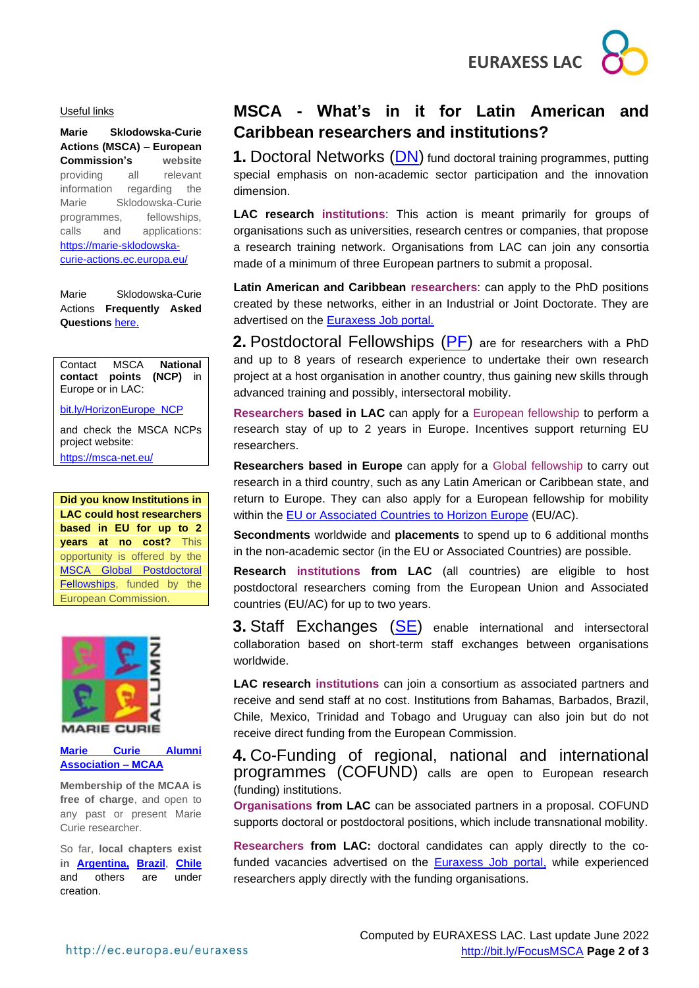

#### Useful links

**Marie Sklodowska-Curie Actions (MSCA) – European Commission's website** providing all relevant information regarding the Marie Sklodowska-Curie programmes, fellowships, calls and applications: [https://marie-sklodowska](https://marie-sklodowska-curie-actions.ec.europa.eu/)[curie-actions.ec.europa.eu/](https://marie-sklodowska-curie-actions.ec.europa.eu/)

Marie Sklodowska-Curie Actions **Frequently Asked Questions** [here.](https://mariesklodowskacurieactions.blogspot.com/)

Contact MSCA **National contact points (NCP)** in Europe or in LAC:

[bit.ly/HorizonEurope\\_NCP](http://bit.ly/Horizon_NCP)

and check the MSCA NCPs project website: <https://msca-net.eu/>

**Did you know Institutions in LAC could host researchers based in EU for up to 2 years at no cost?** This opportunity is offered by the [MSCA Global](https://marie-sklodowska-curie-actions.ec.europa.eu/actions/postdoctoral-fellowships) Postdoctoral [Fellowships,](https://marie-sklodowska-curie-actions.ec.europa.eu/actions/postdoctoral-fellowships) funded by the European Commission.



### **[Marie Curie Alumni](https://www.mariecuriealumni.eu/)  [Association –](https://www.mariecuriealumni.eu/) MCAA**

**Membership of the MCAA is free of charge**, and open to any past or present Marie Curie researcher.

So far, **local chapters exist in [Argentina,](mailto:argentina.chapter@mariecuriealumni.eu) [Brazil](mailto:brazil.chapter@mariecuriealumni.eu)**, **[Chile](mailto:chile.chapter@mariecuriealumni.eu)** and others are under creation.

# **MSCA - What's in it for Latin American and Caribbean researchers and institutions?**

**1.** Doctoral Networks [\(DN\)](https://bit.ly/MSCA_DN) fund doctoral training programmes, putting special emphasis on non-academic sector participation and the innovation dimension.

**LAC research institutions**: This action is meant primarily for groups of organisations such as universities, research centres or companies, that propose a research training network. Organisations from LAC can join any consortia made of a minimum of three European partners to submit a proposal.

**Latin American and Caribbean researchers**: can apply to the PhD positions created by these networks, either in an Industrial or Joint Doctorate. They are advertised on the **Euraxess Job portal.** 

**2.** Postdoctoral Fellowships [\(PF\)](https://bit.ly/MSCAPF) are for researchers with a PhD and up to 8 years of research experience to undertake their own research project at a host organisation in another country, thus gaining new skills through advanced training and possibly, intersectoral mobility.

**Researchers based in LAC** can apply for a European fellowship to perform a research stay of up to 2 years in Europe. Incentives support returning EU researchers.

**Researchers based in Europe** can apply for a Global fellowship to carry out research in a third country, such as any Latin American or Caribbean state, and return to Europe. They can also apply for a European fellowship for mobility within the [EU or Associated Countries to Horizon Europe](https://ec.europa.eu/info/funding-tenders/opportunities/docs/2021-2027/common/guidance/list-3rd-country-participation_horizon-euratom_en.pdf) (EU/AC).

**Secondments** worldwide and **placements** to spend up to 6 additional months in the non-academic sector (in the EU or Associated Countries) are possible.

**Research institutions from LAC** (all countries) are eligible to host postdoctoral researchers coming from the European Union and Associated countries (EU/AC) for up to two years.

**3.** Staff Exchanges [\(SE\)](https://bit.ly/MSCASE) enable international and intersectoral collaboration based on short-term staff exchanges between organisations worldwide.

**LAC research institutions** can join a consortium as associated partners and receive and send staff at no cost. Institutions from Bahamas, Barbados, Brazil, Chile, Mexico, Trinidad and Tobago and Uruguay can also join but do not receive direct funding from the European Commission.

**4.** Co-Funding of regional, national and international programmes (COFUND) calls are open to European research (funding) institutions.

**Organisations from LAC** can be associated partners in a proposal. COFUND supports doctoral or postdoctoral positions, which include transnational mobility.

**Researchers from LAC:** doctoral candidates can apply directly to the cofunded vacancies advertised on the [Euraxess Job portal,](https://euraxess.ec.europa.eu/jobs/search/field_is_eu_founded/h2020-marie-sk%C5%82odowska-curie-actions-867/field_is_eu_founded/h2020-marie-sk%C5%82odowska-curie-actions-cofund-868/field_is_eu_founded/he-msca-4834/field_is_eu_founded/he-msca-cofund-4835) while experienced researchers apply directly with the funding organisations.